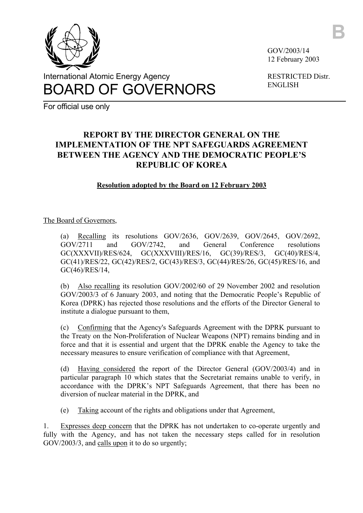

International Atomic Energy Agency BOARD OF GOVERNORS GOV/2003/14 12 February 2003 **B**

RESTRICTED Distr. ENGLISH

For official use only

## **REPORT BY THE DIRECTOR GENERAL ON THE IMPLEMENTATION OF THE NPT SAFEGUARDS AGREEMENT BETWEEN THE AGENCY AND THE DEMOCRATIC PEOPLE'S REPUBLIC OF KOREA**

## **Resolution adopted by the Board on 12 February 2003**

## The Board of Governors,

(a) Recalling its resolutions GOV/2636, GOV/2639, GOV/2645, GOV/2692, GOV/2711 and GOV/2742, and General Conference resolutions GC(XXXVII)/RES/624, GC(XXXVIII)/RES/16, GC(39)/RES/3, GC(40)/RES/4, GC(41)/RES/22, GC(42)/RES/2, GC(43)/RES/3, GC(44)/RES/26, GC(45)/RES/16, and GC(46)/RES/14,

(b) Also recalling its resolution GOV/2002/60 of 29 November 2002 and resolution GOV/2003/3 of 6 January 2003, and noting that the Democratic People's Republic of Korea (DPRK) has rejected those resolutions and the efforts of the Director General to institute a dialogue pursuant to them,

(c) Confirming that the Agency's Safeguards Agreement with the DPRK pursuant to the Treaty on the Non-Proliferation of Nuclear Weapons (NPT) remains binding and in force and that it is essential and urgent that the DPRK enable the Agency to take the necessary measures to ensure verification of compliance with that Agreement,

(d) Having considered the report of the Director General (GOV/2003/4) and in particular paragraph 10 which states that the Secretariat remains unable to verify, in accordance with the DPRK's NPT Safeguards Agreement, that there has been no diversion of nuclear material in the DPRK, and

(e) Taking account of the rights and obligations under that Agreement,

1. Expresses deep concern that the DPRK has not undertaken to co-operate urgently and fully with the Agency, and has not taken the necessary steps called for in resolution GOV/2003/3, and calls upon it to do so urgently;